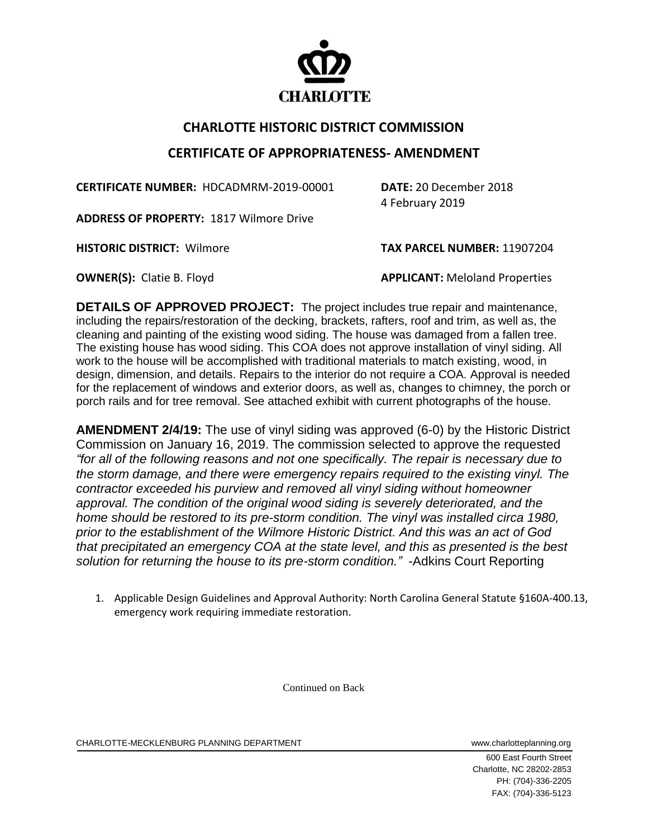

## **CHARLOTTE HISTORIC DISTRICT COMMISSION**

## **CERTIFICATE OF APPROPRIATENESS- AMENDMENT**

**CERTIFICATE NUMBER:** HDCADMRM-2019-00001 **DATE:** 20 December 2018

4 February 2019

**ADDRESS OF PROPERTY:** 1817 Wilmore Drive

**HISTORIC DISTRICT:** Wilmore **TAX PARCEL NUMBER:** 11907204

**OWNER(S):** Clatie B. Floyd **APPLICANT:** Meloland Properties

**DETAILS OF APPROVED PROJECT:** The project includes true repair and maintenance, including the repairs/restoration of the decking, brackets, rafters, roof and trim, as well as, the cleaning and painting of the existing wood siding. The house was damaged from a fallen tree. The existing house has wood siding. This COA does not approve installation of vinyl siding. All work to the house will be accomplished with traditional materials to match existing, wood, in design, dimension, and details. Repairs to the interior do not require a COA. Approval is needed for the replacement of windows and exterior doors, as well as, changes to chimney, the porch or porch rails and for tree removal. See attached exhibit with current photographs of the house.

**AMENDMENT 2/4/19:** The use of vinyl siding was approved (6-0) by the Historic District Commission on January 16, 2019. The commission selected to approve the requested *"for all of the following reasons and not one specifically. The repair is necessary due to the storm damage, and there were emergency repairs required to the existing vinyl. The contractor exceeded his purview and removed all vinyl siding without homeowner approval. The condition of the original wood siding is severely deteriorated, and the home should be restored to its pre-storm condition. The vinyl was installed circa 1980, prior to the establishment of the Wilmore Historic District. And this was an act of God that precipitated an emergency COA at the state level, and this as presented is the best solution for returning the house to its pre-storm condition."* -Adkins Court Reporting

1. Applicable Design Guidelines and Approval Authority: North Carolina General Statute §160A-400.13, emergency work requiring immediate restoration.

Continued on Back

CHARLOTTE-MECKLENBURG PLANNING DEPARTMENT www.charlotteplanning.org

600 East Fourth Street Charlotte, NC 28202-2853 PH: (704)-336-2205 FAX: (704)-336-5123